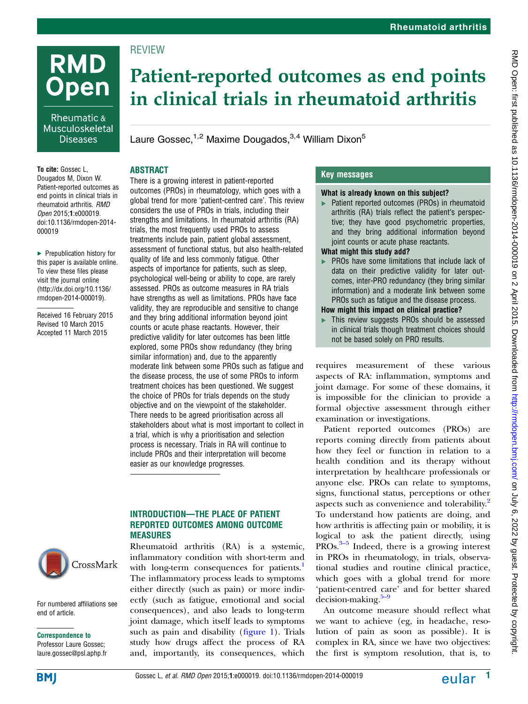# **RMD Open**

Rheumatic & Musculoskeletal **Diseases** 

To cite: Gossec L, Dougados M, Dixon W. Patient-reported outcomes as end points in clinical trials in rheumatoid arthritis. RMD Open 2015;1:e000019. doi:10.1136/rmdopen-2014- 000019

▶ Prepublication history for this paper is available online. To view these files please visit the journal online [\(http://dx.doi.org/10.1136/](http://dx.doi.org/10.1136/rmdopen-2014-000019) [rmdopen-2014-000019](http://dx.doi.org/10.1136/rmdopen-2014-000019)).

Received 16 February 2015 Revised 10 March 2015 Accepted 11 March 2015

Patient-reported outcomes as end points in clinical trials in rheumatoid arthritis

Laure Gossec, <sup>1,2</sup> Maxime Dougados, <sup>3,4</sup> William Dixon<sup>5</sup>

#### ABSTRACT

**REVIEW** 

There is a growing interest in patient-reported outcomes (PROs) in rheumatology, which goes with a global trend for more 'patient-centred care'. This review considers the use of PROs in trials, including their strengths and limitations. In rheumatoid arthritis (RA) trials, the most frequently used PROs to assess treatments include pain, patient global assessment, assessment of functional status, but also health-related quality of life and less commonly fatigue. Other aspects of importance for patients, such as sleep, psychological well-being or ability to cope, are rarely assessed. PROs as outcome measures in RA trials have strengths as well as limitations. PROs have face validity, they are reproducible and sensitive to change and they bring additional information beyond joint counts or acute phase reactants. However, their predictive validity for later outcomes has been little explored, some PROs show redundancy (they bring similar information) and, due to the apparently moderate link between some PROs such as fatigue and the disease process, the use of some PROs to inform treatment choices has been questioned. We suggest the choice of PROs for trials depends on the study objective and on the viewpoint of the stakeholder. There needs to be agreed prioritisation across all stakeholders about what is most important to collect in a trial, which is why a prioritisation and selection process is necessary. Trials in RA will continue to include PROs and their interpretation will become easier as our knowledge progresses.

INTRODUCTION—THE PLACE OF PATIENT REPORTED OUTCOMES AMONG OUTCOME

Rheumatoid arthritis (RA) is a systemic, inflammatory condition with short-term and with long-term consequences for patients.<sup>[1](#page-5-0)</sup> The inflammatory process leads to symptoms either directly (such as pain) or more indirectly (such as fatigue, emotional and social consequences), and also leads to long-term joint damage, which itself leads to symptoms such as pain and disability (fi[gure 1](#page-1-0)). Trials

MEASURES

For numbered affiliations see end of article.

Correspondence to Professor Laure Gossec; laure.gossec@psl.aphp.fr



# study how drugs affect the process of RA and, importantly, its consequences, which

# Key messages

#### What is already known on this subject?

▶ Patient reported outcomes (PROs) in rheumatoid arthritis (RA) trials reflect the patient's perspective; they have good psychometric properties, and they bring additional information beyond joint counts or acute phase reactants.

#### What might this study add?

PROs have some limitations that include lack of data on their predictive validity for later outcomes, inter-PRO redundancy (they bring similar information) and a moderate link between some PROs such as fatigue and the disease process.

#### How might this impact on clinical practice?

▸ This review suggests PROs should be assessed in clinical trials though treatment choices should not be based solely on PRO results.

requires measurement of these various aspects of RA: inflammation, symptoms and joint damage. For some of these domains, it is impossible for the clinician to provide a formal objective assessment through either examination or investigations.

Patient reported outcomes (PROs) are reports coming directly from patients about how they feel or function in relation to a health condition and its therapy without interpretation by healthcare professionals or anyone else. PROs can relate to symptoms, signs, functional status, perceptions or other aspects such as convenience and tolerability.<sup>2</sup> To understand how patients are doing, and how arthritis is affecting pain or mobility, it is logical to ask the patient directly, using  $PROs.<sup>3–5</sup> Indeed, there is a growing interest$  $PROs.<sup>3–5</sup> Indeed, there is a growing interest$  $PROs.<sup>3–5</sup> Indeed, there is a growing interest$ in PROs in rheumatology, in trials, observational studies and routine clinical practice, which goes with a global trend for more 'patient-centred care' and for better shared  $decision-making.<sup>5-9</sup>$ 

An outcome measure should reflect what we want to achieve (eg, in headache, resolution of pain as soon as possible). It is complex in RA, since we have two objectives: the first is symptom resolution, that is, to

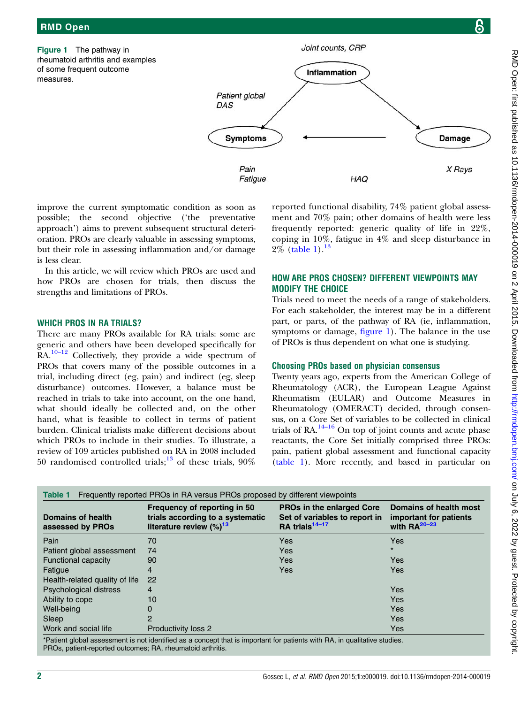measures.

<span id="page-1-0"></span>Figure 1 The pathway in rheumatoid arthritis and examples of some frequent outcome



improve the current symptomatic condition as soon as possible; the second objective ('the preventative approach') aims to prevent subsequent structural deterioration. PROs are clearly valuable in assessing symptoms, but their role in assessing inflammation and/or damage is less clear.

In this article, we will review which PROs are used and how PROs are chosen for trials, then discuss the strengths and limitations of PROs.

# WHICH PROS IN RA TRIALS?

There are many PROs available for RA trials: some are generic and others have been developed specifically for RA.<sup>10–12</sup> Collectively, they provide a wide spectrum of PROs that covers many of the possible outcomes in a trial, including direct (eg, pain) and indirect (eg, sleep disturbance) outcomes. However, a balance must be reached in trials to take into account, on the one hand, what should ideally be collected and, on the other hand, what is feasible to collect in terms of patient burden. Clinical trialists make different decisions about which PROs to include in their studies. To illustrate, a review of 109 articles published on RA in 2008 included 50 randomised controlled trials;<sup>[13](#page-5-0)</sup> of these trials, 90%

reported functional disability, 74% patient global assessment and 70% pain; other domains of health were less frequently reported: generic quality of life in 22%, coping in 10%, fatigue in 4% and sleep disturbance in  $2\%$  (table 1).<sup>[13](#page-5-0)</sup>

#### HOW ARE PROS CHOSEN? DIFFERENT VIEWPOINTS MAY MODIFY THE CHOICE

Trials need to meet the needs of a range of stakeholders. For each stakeholder, the interest may be in a different part, or parts, of the pathway of RA (ie, inflammation, symptoms or damage, figure 1). The balance in the use of PROs is thus dependent on what one is studying.

# Choosing PROs based on physician consensus

Twenty years ago, experts from the American College of Rheumatology (ACR), the European League Against Rheumatism (EULAR) and Outcome Measures in Rheumatology (OMERACT) decided, through consensus, on a C[ore S](#page-5-0)et of variables to be collected in clinical trials of RA.14–<sup>16</sup> On top of joint counts and acute phase reactants, the Core Set initially comprised three PROs: pain, patient global assessment and functional capacity (table 1). More recently, and based in particular on

| Frequently reported PROs in RA versus PROs proposed by different viewpoints<br>Table 1 |                                                                                                   |                                                                                                 |                                                                       |  |
|----------------------------------------------------------------------------------------|---------------------------------------------------------------------------------------------------|-------------------------------------------------------------------------------------------------|-----------------------------------------------------------------------|--|
| Domains of health<br>assessed by PROs                                                  | Frequency of reporting in 50<br>trials according to a systematic<br>literature review $(\%)^{13}$ | <b>PROs in the enlarged Core</b><br>Set of variables to report in<br>RA trials <sup>14-17</sup> | Domains of health most<br>important for patients<br>with $RA^{20-23}$ |  |
| Pain                                                                                   | 70                                                                                                | Yes                                                                                             | Yes                                                                   |  |
| Patient global assessment                                                              | 74                                                                                                | Yes                                                                                             | $\star$                                                               |  |
| <b>Functional capacity</b>                                                             | 90                                                                                                | Yes                                                                                             | Yes                                                                   |  |
| Fatigue                                                                                | 4                                                                                                 | Yes                                                                                             | Yes                                                                   |  |
| Health-related quality of life                                                         | 22                                                                                                |                                                                                                 |                                                                       |  |
| Psychological distress                                                                 | $\overline{4}$                                                                                    |                                                                                                 | Yes                                                                   |  |
| Ability to cope                                                                        | 10                                                                                                |                                                                                                 | Yes                                                                   |  |
| Well-being                                                                             | 0                                                                                                 |                                                                                                 | Yes                                                                   |  |
| Sleep                                                                                  | 2                                                                                                 |                                                                                                 | <b>Yes</b>                                                            |  |
| Work and social life                                                                   | Productivity loss 2                                                                               |                                                                                                 | <b>Yes</b>                                                            |  |

\*Patient global assessment is not identified as a concept that is important for patients with RA, in qualitative studies. PROs, patient-reported outcomes; RA, rheumatoid arthritis.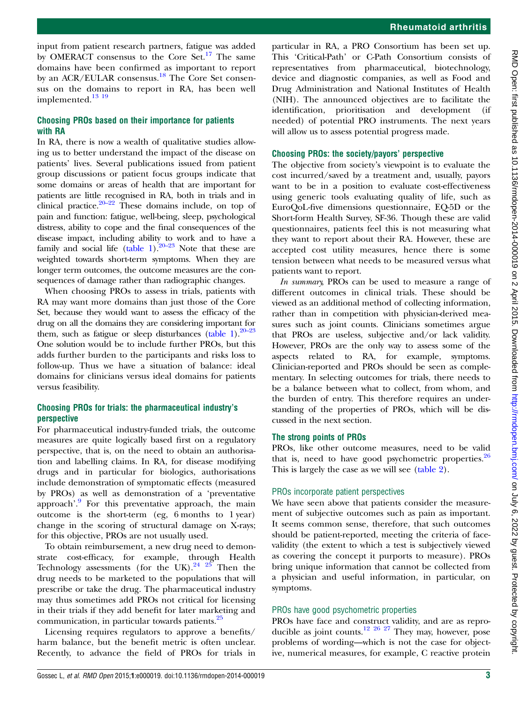input from patient research partners, fatigue was added by OMERACT consensus to the Core Set.<sup>[17](#page-5-0)</sup> The same domains have been confirmed as important to report by an ACR/EULAR consensus.<sup>[18](#page-5-0)</sup> The Core Set consensus on the domains to report in RA, has been well implemented.<sup>13</sup> <sup>19</sup>

#### Choosing PROs based on their importance for patients with RA

In RA, there is now a wealth of qualitative studies allowing us to better understand the impact of the disease on patients' lives. Several publications issued from patient group discussions or patient focus groups indicate that some domains or areas of health that are important for patients are little recognised in RA, both in trials and in clinical practice. $20-22$  These domains include, on top of pain and function: fatigue, well-being, sleep, psychological distress, ability to cope and the final consequences of the disease impact, including ability to work and to have a family and social life  $\frac{6}{\text{table}}$  1).<sup>20–23</sup> Note that these are weighted towards short-term symptoms. When they are longer term outcomes, the outcome measures are the consequences of damage rather than radiographic changes.

When choosing PROs to assess in trials, patients with RA may want more domains than just those of the Core Set, because they would want to assess the efficacy of the drug on all the domains they are considering important for them, such as fatigue or sleep disturbances [\(table 1](#page-1-0)). $20-23$ One solution would be to include further PROs, but this adds further burden to the participants and risks loss to follow-up. Thus we have a situation of balance: ideal domains for clinicians versus ideal domains for patients versus feasibility.

#### Choosing PROs for trials: the pharmaceutical industry's perspective

For pharmaceutical industry-funded trials, the outcome measures are quite logically based first on a regulatory perspective, that is, on the need to obtain an authorisation and labelling claims. In RA, for disease modifying drugs and in particular for biologics, authorisations include demonstration of symptomatic effects (measured by PROs) as well as demonstration of a 'preventative approach'.<sup>[9](#page-5-0)</sup> For this preventative approach, the main outcome is the short-term (eg, 6 months to 1 year) change in the scoring of structural damage on X-rays; for this objective, PROs are not usually used.

To obtain reimbursement, a new drug need to demonstrate cost-efficacy, for example, through Health Technology assessments (for the UK). $2425$  Then the drug needs to be marketed to the populations that will prescribe or take the drug. The pharmaceutical industry may thus sometimes add PROs not critical for licensing in their trials if they add benefit for later marketing and communication, in particular towards patients.<sup>[25](#page-5-0)</sup>

Licensing requires regulators to approve a benefits/ harm balance, but the benefit metric is often unclear. Recently, to advance the field of PROs for trials in

particular in RA, a PRO Consortium has been set up. This 'Critical-Path' or C-Path Consortium consists of representatives from pharmaceutical, biotechnology, device and diagnostic companies, as well as Food and Drug Administration and National Institutes of Health (NIH). The announced objectives are to facilitate the identification, prioritisation and development (if needed) of potential PRO instruments. The next years will allow us to assess potential progress made.

#### Choosing PROs: the society/payors' perspective

The objective from society's viewpoint is to evaluate the cost incurred/saved by a treatment and, usually, payors want to be in a position to evaluate cost-effectiveness using generic tools evaluating quality of life, such as EuroQoL-five dimensions questionnaire, EQ-5D or the Short-form Health Survey, SF-36. Though these are valid questionnaires, patients feel this is not measuring what they want to report about their RA. However, these are accepted cost utility measures, hence there is some tension between what needs to be measured versus what patients want to report.

In summary, PROs can be used to measure a range of different outcomes in clinical trials. These should be viewed as an additional method of collecting information, rather than in competition with physician-derived measures such as joint counts. Clinicians sometimes argue that PROs are useless, subjective and/or lack validity. However, PROs are the only way to assess some of the aspects related to RA, for example, symptoms. Clinician-reported and PROs should be seen as complementary. In selecting outcomes for trials, there needs to be a balance between what to collect, from whom, and the burden of entry. This therefore requires an understanding of the properties of PROs, which will be discussed in the next section.

#### The strong points of PROs

PROs, like other outcome measures, need to be valid that is, need to have good psychometric properties. $26$ This is largely the case as we will see [\(table 2](#page-3-0)).

# PROs incorporate patient perspectives

We have seen above that patients consider the measurement of subjective outcomes such as pain as important. It seems common sense, therefore, that such outcomes should be patient-reported, meeting the criteria of facevalidity (the extent to which a test is subjectively viewed as covering the concept it purports to measure). PROs bring unique information that cannot be collected from a physician and useful information, in particular, on symptoms.

#### PROs have good psychometric properties

PROs have face and construct validity, and are as repro-ducible as joint counts.<sup>[12 26 27](#page-5-0)</sup> They may, however, pose problems of wording—which is not the case for objective, numerical measures, for example, C reactive protein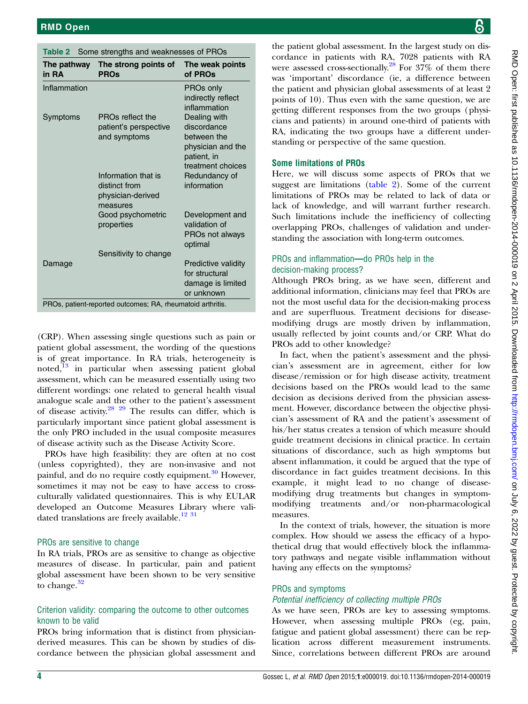<span id="page-3-0"></span>

| Table 2 Some strengths and weaknesses of PROs              |                                                                       |                                                                                                     |  |
|------------------------------------------------------------|-----------------------------------------------------------------------|-----------------------------------------------------------------------------------------------------|--|
| The pathway<br>in RA                                       | The strong points of<br><b>PROs</b>                                   | The weak points<br>of PROs                                                                          |  |
| Inflammation                                               |                                                                       | <b>PROs only</b><br>indirectly reflect<br>inflammation                                              |  |
| Symptoms                                                   | PROs reflect the<br>patient's perspective<br>and symptoms             | Dealing with<br>discordance<br>between the<br>physician and the<br>patient, in<br>treatment choices |  |
|                                                            | Information that is<br>distinct from<br>physician-derived<br>measures | Redundancy of<br>information                                                                        |  |
|                                                            | Good psychometric<br>properties                                       | Development and<br>validation of<br>PROs not always<br>optimal                                      |  |
|                                                            | Sensitivity to change                                                 |                                                                                                     |  |
| Damage                                                     |                                                                       | <b>Predictive validity</b><br>for structural<br>damage is limited<br>or unknown                     |  |
| PROs, patient-reported outcomes; RA, rheumatoid arthritis. |                                                                       |                                                                                                     |  |

(CRP). When assessing single questions such as pain or patient global assessment, the wording of the questions is of great importance. In RA trials, heterogeneity is noted, $13$  in particular when assessing patient global assessment, which can be measured essentially using two different wordings: one related to general health visual analogue scale and the other to the patient's assessment of disease activity[.28 29](#page-5-0) The results can differ, which is particularly important since patient global assessment is the only PRO included in the usual composite measures of disease activity such as the Disease Activity Score.

PROs have high feasibility: they are often at no cost (unless copyrighted), they are non-invasive and not painful, and do no require costly equipment. $30$  However, sometimes it may not be easy to have access to crossculturally validated questionnaires. This is why EULAR developed an Outcome Measures Library where vali-dated translations are freely available.<sup>[12 31](#page-5-0)</sup>

#### PROs are sensitive to change

In RA trials, PROs are as sensitive to change as objective measures of disease. In particular, pain and patient global assessment have been shown to be very sensitive to change. $32$ 

# Criterion validity: comparing the outcome to other outcomes known to be valid

PROs bring information that is distinct from physicianderived measures. This can be shown by studies of discordance between the physician global assessment and

the patient global assessment. In the largest study on discordance in patients with RA, 7028 patients with RA were assessed cross-sectionally.<sup>[28](#page-5-0)</sup> For  $37\%$  of them there was 'important' discordance (ie, a difference between the patient and physician global assessments of at least 2 points of 10). Thus even with the same question, we are getting different responses from the two groups (physicians and patients) in around one-third of patients with RA, indicating the two groups have a different understanding or perspective of the same question.

# Some limitations of PROs

Here, we will discuss some aspects of PROs that we suggest are limitations (table 2). Some of the current limitations of PROs may be related to lack of data or lack of knowledge, and will warrant further research. Such limitations include the inefficiency of collecting overlapping PROs, challenges of validation and understanding the association with long-term outcomes.

#### PROs and inflammation—do PROs help in the decision-making process?

Although PROs bring, as we have seen, different and additional information, clinicians may feel that PROs are not the most useful data for the decision-making process and are superfluous. Treatment decisions for diseasemodifying drugs are mostly driven by inflammation, usually reflected by joint counts and/or CRP. What do PROs add to other knowledge?

In fact, when the patient's assessment and the physician's assessment are in agreement, either for low disease/remission or for high disease activity, treatment decisions based on the PROs would lead to the same decision as decisions derived from the physician assessment. However, discordance between the objective physician's assessment of RA and the patient's assessment of his/her status creates a tension of which measure should guide treatment decisions in clinical practice. In certain situations of discordance, such as high symptoms but absent inflammation, it could be argued that the type of discordance in fact guides treatment decisions. In this example, it might lead to no change of diseasemodifying drug treatments but changes in symptommodifying treatments and/or non-pharmacological measures.

In the context of trials, however, the situation is more complex. How should we assess the efficacy of a hypothetical drug that would effectively block the inflammatory pathways and negate visible inflammation without having any effects on the symptoms?

# PROs and symptoms

# Potential inefficiency of collecting multiple PROs

As we have seen, PROs are key to assessing symptoms. However, when assessing multiple PROs (eg, pain, fatigue and patient global assessment) there can be replication across different measurement instruments. Since, correlations between different PROs are around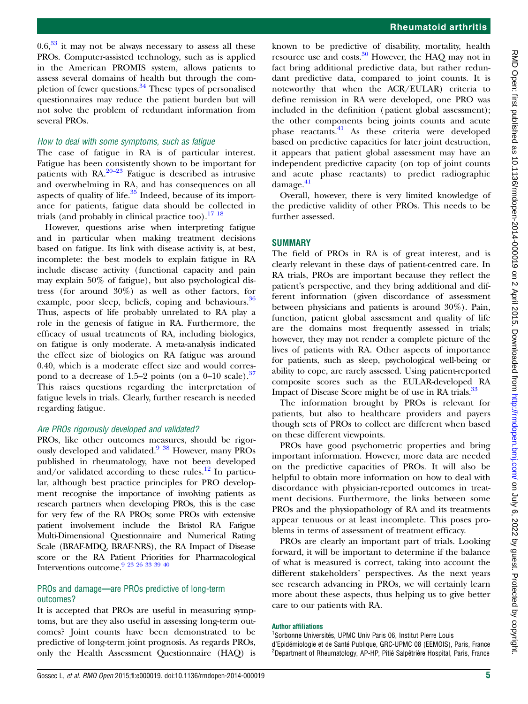$0.6$ ,  $33$  it may not be always necessary to assess all these PROs. Computer-assisted technology, such as is applied in the American PROMIS system, allows patients to assess several domains of health but through the com-pletion of fewer questions.<sup>[34](#page-5-0)</sup> These types of personalised questionnaires may reduce the patient burden but will not solve the problem of redundant information from several PROs.

#### How to deal with some symptoms, such as fatigue

The case of fatigue in RA is of particular interest. Fatigue has been consistently shown to be important for patients with RA. $20-23$  $20-23$  Fatigue is described as intrusive and overwhelming in RA, and has consequences on all aspects of quality of life. $35$  Indeed, because of its importance for patients, fatigue data should be collected in trials (and probably in clinical practice too). $17 \frac{18}{18}$ 

However, questions arise when interpreting fatigue and in particular when making treatment decisions based on fatigue. Its link with disease activity is, at best, incomplete: the best models to explain fatigue in RA include disease activity (functional capacity and pain may explain 50% of fatigue), but also psychological distress (for around 30%) as well as other factors, for example, poor sleep, beliefs, coping and behaviours.<sup>[36](#page-5-0)</sup> Thus, aspects of life probably unrelated to RA play a role in the genesis of fatigue in RA. Furthermore, the efficacy of usual treatments of RA, including biologics, on fatigue is only moderate. A meta-analysis indicated the effect size of biologics on RA fatigue was around 0.40, which is a moderate effect size and would correspond to a decrease of 1.5–2 points (on a  $0$ –10 scale).<sup>[37](#page-5-0)</sup> This raises questions regarding the interpretation of fatigue levels in trials. Clearly, further research is needed regarding fatigue.

#### Are PROs rigorously developed and validated?

PROs, like other outcomes measures, should be rigorously developed and validated.<sup>9</sup> <sup>38</sup> However, many PROs published in rheumatology, have not been developed and/or validated according to these rules. $12$  In particular, although best practice principles for PRO development recognise the importance of involving patients as research partners when developing PROs, this is the case for very few of the RA PROs; some PROs with extensive patient involvement include the Bristol RA Fatigue Multi-Dimensional Questionnaire and Numerical Rating Scale (BRAF-MDQ, BRAF-NRS), the RA Impact of Disease score or the RA Patient Priorities for Pharmacological Interventions outcome[.9 23 26 33 39 40](#page-5-0)

#### PROs and damage—are PROs predictive of long-term outcomes?

It is accepted that PROs are useful in measuring symptoms, but are they also useful in assessing long-term outcomes? Joint counts have been demonstrated to be predictive of long-term joint prognosis. As regards PROs, only the Health Assessment Questionnaire (HAQ) is known to be predictive of disability, mortality, health resource use and costs. $30$  However, the HAQ may not in fact bring additional predictive data, but rather redundant predictive data, compared to joint counts. It is noteworthy that when the ACR/EULAR) criteria to define remission in RA were developed, one PRO was included in the definition (patient global assessment); the other components being joints counts and acute phase reactants.<sup>[41](#page-5-0)</sup> As these criteria were developed based on predictive capacities for later joint destruction, it appears that patient global assessment may have an independent predictive capacity (on top of joint counts and acute phase reactants) to predict radiographic  $d$ amage. $^{41}$ 

Overall, however, there is very limited knowledge of the predictive validity of other PROs. This needs to be further assessed.

#### SUMMARY

The field of PROs in RA is of great interest, and is clearly relevant in these days of patient-centred care. In RA trials, PROs are important because they reflect the patient's perspective, and they bring additional and different information (given discordance of assessment between physicians and patients is around 30%). Pain, function, patient global assessment and quality of life are the domains most frequently assessed in trials; however, they may not render a complete picture of the lives of patients with RA. Other aspects of importance for patients, such as sleep, psychological well-being or ability to cope, are rarely assessed. Using patient-reported composite scores such as the EULAR-developed RA Impact of Disease Score might be of use in RA trials.<sup>33</sup>

The information brought by PROs is relevant for patients, but also to healthcare providers and payers though sets of PROs to collect are different when based on these different viewpoints.

PROs have good psychometric properties and bring important information. However, more data are needed on the predictive capacities of PROs. It will also be helpful to obtain more information on how to deal with discordance with physician-reported outcomes in treatment decisions. Furthermore, the links between some PROs and the physiopathology of RA and its treatments appear tenuous or at least incomplete. This poses problems in terms of assessment of treatment efficacy.

PROs are clearly an important part of trials. Looking forward, it will be important to determine if the balance of what is measured is correct, taking into account the different stakeholders' perspectives. As the next years see research advancing in PROs, we will certainly learn more about these aspects, thus helping us to give better care to our patients with RA.

#### Author affiliations

1 Sorbonne Universités, UPMC Univ Paris 06, Institut Pierre Louis d'Epidémiologie et de Santé Publique, GRC-UPMC 08 (EEMOIS), Paris, France <sup>2</sup>Department of Rheumatology, AP-HP, Pitié Salpêtrière Hospital, Paris, France